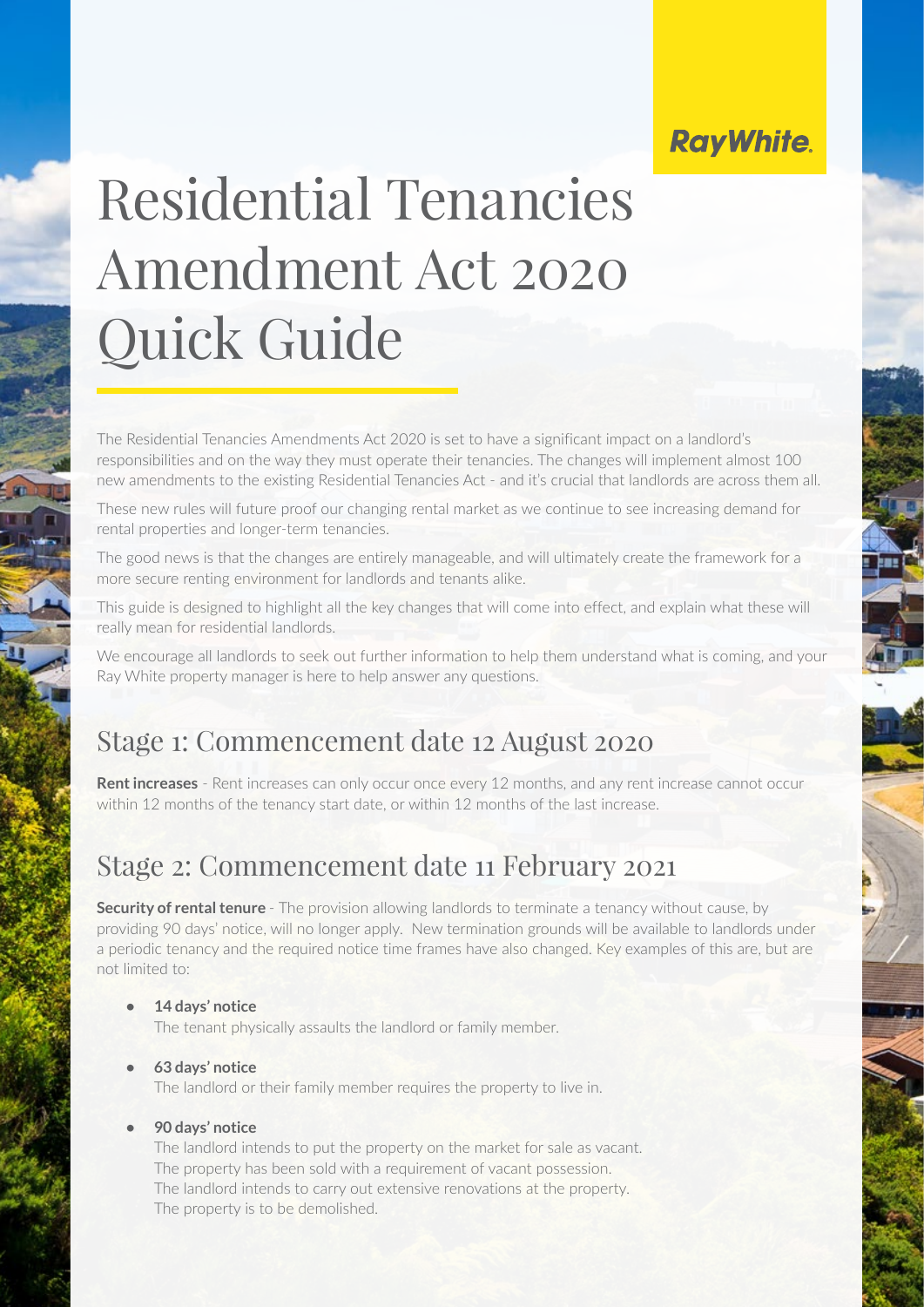## **RayWhite.**

# Residential Tenancies Amendment Act 2020 Quick Guide

The Residential Tenancies Amendments Act 2020 is set to have a significant impact on a landlord's responsibilities and on the way they must operate their tenancies. The changes will implement almost 100 new amendments to the existing Residential Tenancies Act - and it's crucial that landlords are across them all.

These new rules will future proof our changing rental market as we continue to see increasing demand for rental properties and longer-term tenancies.

The good news is that the changes are entirely manageable, and will ultimately create the framework for a more secure renting environment for landlords and tenants alike.

This guide is designed to highlight all the key changes that will come into effect, and explain what these will really mean for residential landlords.

We encourage all landlords to seek out further information to help them understand what is coming, and your Ray White property manager is here to help answer any questions.

## Stage 1: Commencement date 12 August 2020

**Rent increases** - Rent increases can only occur once every 12 months, and any rent increase cannot occur within 12 months of the tenancy start date, or within 12 months of the last increase.

## Stage 2: Commencement date 11 February 2021

**Security of rental tenure** - The provision allowing landlords to terminate a tenancy without cause, by providing 90 days' notice, will no longer apply. New termination grounds will be available to landlords under a periodic tenancy and the required notice time frames have also changed. Key examples of this are, but are not limited to:

**• 14 days' notice** 

The tenant physically assaults the landlord or family member.

#### **• 63 days' notice**

The landlord or their family member requires the property to live in.

#### **• 90 days' notice**

The landlord intends to put the property on the market for sale as vacant. The property has been sold with a requirement of vacant possession. The landlord intends to carry out extensive renovations at the property. The property is to be demolished.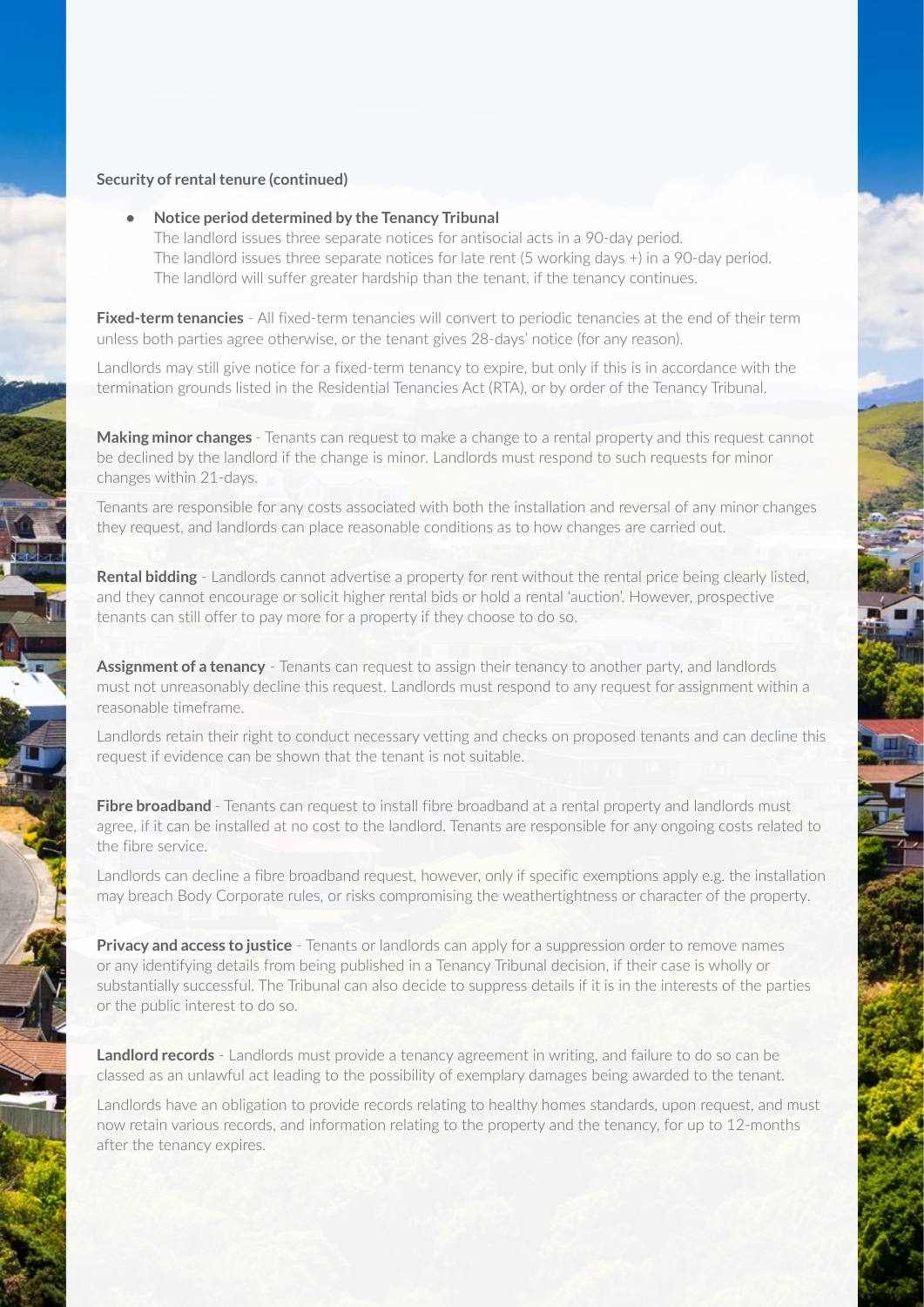#### **Security of rental tenure (continued)**

**• Notice period determined by the Tenancy Tribunal**

The landlord issues three separate notices for antisocial acts in a 90-day period. The landlord issues three separate notices for late rent (5 working days +) in a 90-day period. The landlord will suffer greater hardship than the tenant, if the tenancy continues.

**Fixed-term tenancies** - All fixed-term tenancies will convert to periodic tenancies at the end of their term unless both parties agree otherwise, or the tenant gives 28-days' notice (for any reason).

Landlords may still give notice for a fixed-term tenancy to expire, but only if this is in accordance with the termination grounds listed in the Residential Tenancies Act (RTA), or by order of the Tenancy Tribunal.

**Making minor changes** - Tenants can request to make a change to a rental property and this request cannot be declined by the landlord if the change is minor. Landlords must respond to such requests for minor changes within 21-days.

Tenants are responsible for any costs associated with both the installation and reversal of any minor changes they request, and landlords can place reasonable conditions as to how changes are carried out.

**Rental bidding** - Landlords cannot advertise a property for rent without the rental price being clearly listed, and they cannot encourage or solicit higher rental bids or hold a rental 'auction'. However, prospective tenants can still offer to pay more for a property if they choose to do so.

**Assignment of a tenancy** - Tenants can request to assign their tenancy to another party, and landlords must not unreasonably decline this request. Landlords must respond to any request for assignment within a reasonable timeframe.

Landlords retain their right to conduct necessary vetting and checks on proposed tenants and can decline this request if evidence can be shown that the tenant is not suitable.

**Fibre broadband** - Tenants can request to install fibre broadband at a rental property and landlords must agree, if it can be installed at no cost to the landlord. Tenants are responsible for any ongoing costs related to the fibre service.

Landlords can decline a fibre broadband request, however, only if specific exemptions apply e.g. the installation may breach Body Corporate rules, or risks compromising the weathertightness or character of the property.

**Privacy and access to justice** - Tenants or landlords can apply for a suppression order to remove names or any identifying details from being published in a Tenancy Tribunal decision, if their case is wholly or substantially successful. The Tribunal can also decide to suppress details if it is in the interests of the parties or the public interest to do so.

**Landlord records** - Landlords must provide a tenancy agreement in writing, and failure to do so can be classed as an unlawful act leading to the possibility of exemplary damages being awarded to the tenant.

Landlords have an obligation to provide records relating to healthy homes standards, upon request, and must now retain various records, and information relating to the property and the tenancy, for up to 12-months after the tenancy expires.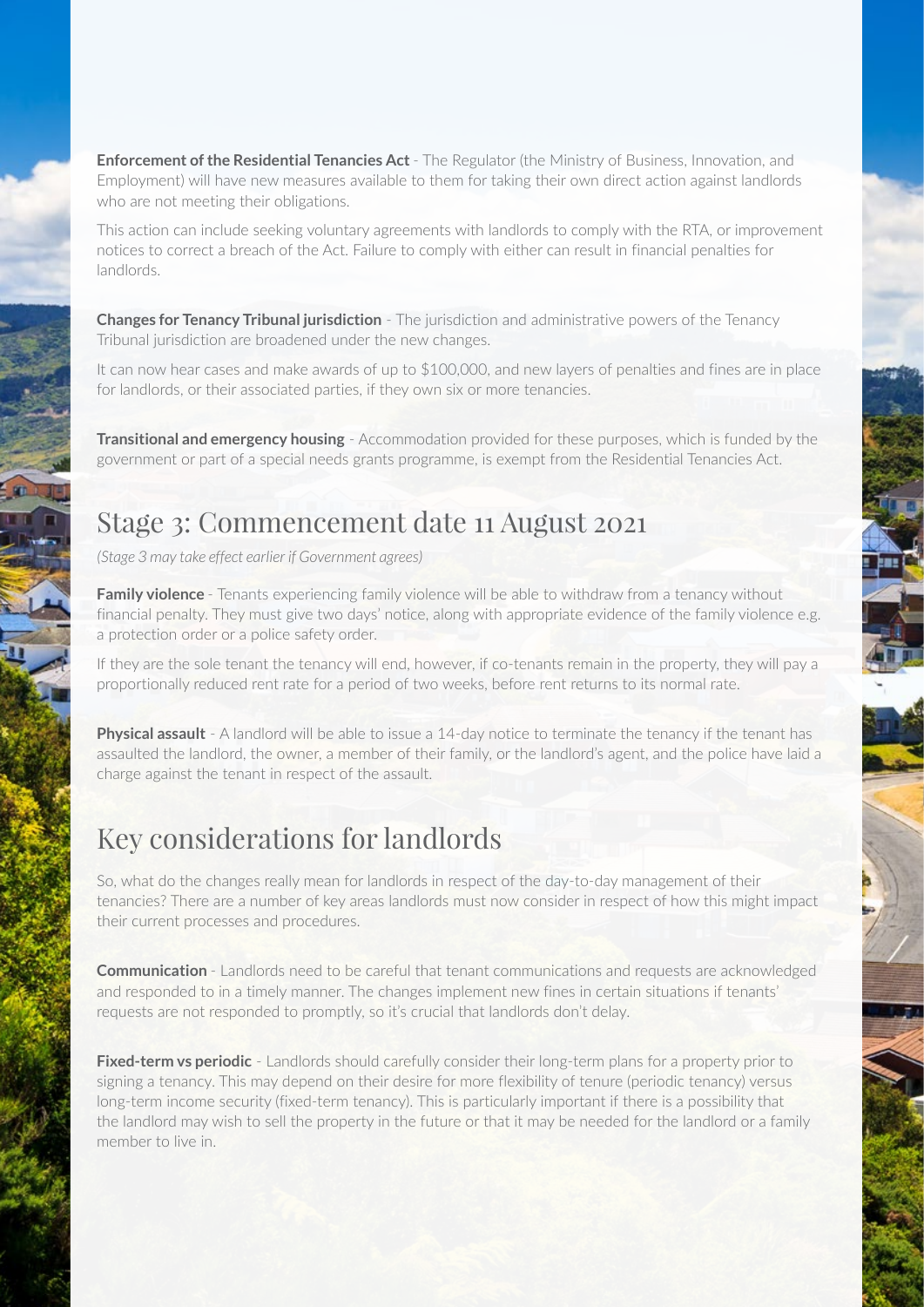**Enforcement of the Residential Tenancies Act** - The Regulator (the Ministry of Business, Innovation, and Employment) will have new measures available to them for taking their own direct action against landlords who are not meeting their obligations.

This action can include seeking voluntary agreements with landlords to comply with the RTA, or improvement notices to correct a breach of the Act. Failure to comply with either can result in financial penalties for landlords.

**Changes for Tenancy Tribunal jurisdiction** - The jurisdiction and administrative powers of the Tenancy Tribunal jurisdiction are broadened under the new changes.

It can now hear cases and make awards of up to \$100,000, and new layers of penalties and fines are in place for landlords, or their associated parties, if they own six or more tenancies.

**Transitional and emergency housing** - Accommodation provided for these purposes, which is funded by the government or part of a special needs grants programme, is exempt from the Residential Tenancies Act.

### Stage 3: Commencement date 11 August 2021

*(Stage 3 may take effect earlier if Government agrees)* 

**Family violence** - Tenants experiencing family violence will be able to withdraw from a tenancy without financial penalty. They must give two days' notice, along with appropriate evidence of the family violence e.g. a protection order or a police safety order.

If they are the sole tenant the tenancy will end, however, if co-tenants remain in the property, they will pay a proportionally reduced rent rate for a period of two weeks, before rent returns to its normal rate.

**Physical assault** - A landlord will be able to issue a 14-day notice to terminate the tenancy if the tenant has assaulted the landlord, the owner, a member of their family, or the landlord's agent, and the police have laid a charge against the tenant in respect of the assault.

## Key considerations for landlords

So, what do the changes really mean for landlords in respect of the day-to-day management of their tenancies? There are a number of key areas landlords must now consider in respect of how this might impact their current processes and procedures.

**Communication** - Landlords need to be careful that tenant communications and requests are acknowledged and responded to in a timely manner. The changes implement new fines in certain situations if tenants' requests are not responded to promptly, so it's crucial that landlords don't delay.

**Fixed-term vs periodic** - Landlords should carefully consider their long-term plans for a property prior to signing a tenancy. This may depend on their desire for more flexibility of tenure (periodic tenancy) versus long-term income security (fixed-term tenancy). This is particularly important if there is a possibility that the landlord may wish to sell the property in the future or that it may be needed for the landlord or a family member to live in.